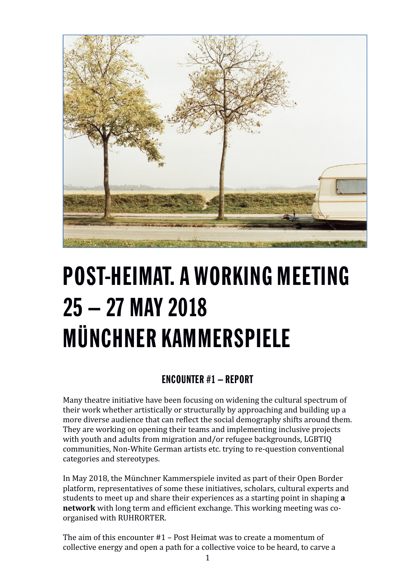

# POST-HEIMAT. A WORKING MEETING 25 – 27 MAY 2018 MÜNCHNER KAMMERSPIELE

# ENCOUNTER #1 – REPORT

Many theatre initiative have been focusing on widening the cultural spectrum of their work whether artistically or structurally by approaching and building up a more diverse audience that can reflect the social demography shifts around them. They are working on opening their teams and implementing inclusive projects with youth and adults from migration and/or refugee backgrounds, LGBTIQ communities, Non-White German artists etc. trying to re-question conventional categories and stereotypes.

In May 2018, the Münchner Kammerspiele invited as part of their Open Border platform, representatives of some these initiatives, scholars, cultural experts and students to meet up and share their experiences as a starting point in shaping **a network** with long term and efficient exchange. This working meeting was coorganised with RUHRORTER.

The aim of this encounter #1 – Post Heimat was to create a momentum of collective energy and open a path for a collective voice to be heard, to carve a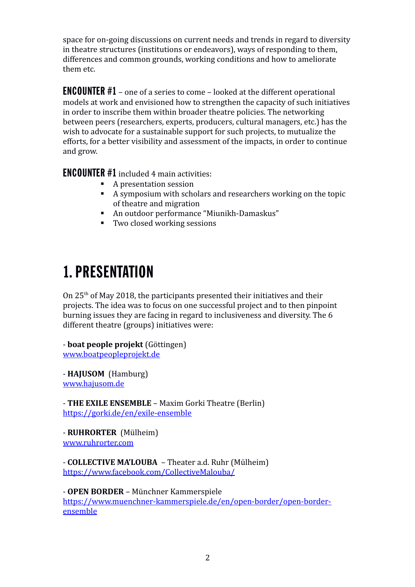space for on-going discussions on current needs and trends in regard to diversity in theatre structures (institutions or endeavors), ways of responding to them, differences and common grounds, working conditions and how to ameliorate them etc.

ENCOUNTER #1 – one of a series to come – looked at the different operational models at work and envisioned how to strengthen the capacity of such initiatives in order to inscribe them within broader theatre policies. The networking between peers (researchers, experts, producers, cultural managers, etc.) has the wish to advocate for a sustainable support for such projects, to mutualize the efforts, for a better visibility and assessment of the impacts, in order to continue and grow.

ENCOUNTER #1 included 4 main activities:

- A presentation session
- A symposium with scholars and researchers working on the topic of theatre and migration
- An outdoor performance "Miunikh-Damaskus"
- Two closed working sessions

# 1. PRESENTATION

On 25th of May 2018, the participants presented their initiatives and their projects. The idea was to focus on one successful project and to then pinpoint burning issues they are facing in regard to inclusiveness and diversity. The 6 different theatre (groups) initiatives were:

- **boat people projekt** (Göttingen) [www.boatpeopleprojekt.de](http://www.boatpeopleprojekt.de/)

- **HAJUSOM** (Hamburg) [www.hajusom.de](http://www.hajusom.de/)

- **THE EXILE ENSEMBLE** – Maxim Gorki Theatre (Berlin) <https://gorki.de/en/exile-ensemble>

- **RUHRORTER** (Mülheim) [www.ruhrorter.com](http://www.ruhrorter.com/)

- **COLLECTIVE MA'LOUBA** – Theater a.d. Ruhr (Mülheim) <https://www.facebook.com/CollectiveMalouba/>

- **OPEN BORDER** – Münchner Kammerspiele [https://www.muenchner-kammerspiele.de/en/open-border/open-border](https://www.muenchner-kammerspiele.de/en/open-border/open-border-ensemble)[ensemble](https://www.muenchner-kammerspiele.de/en/open-border/open-border-ensemble)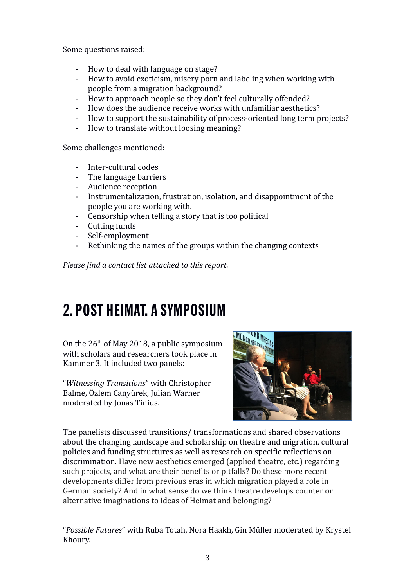Some questions raised:

- How to deal with language on stage?
- How to avoid exoticism, misery porn and labeling when working with people from a migration background?
- How to approach people so they don't feel culturally offended?
- How does the audience receive works with unfamiliar aesthetics?
- How to support the sustainability of process-oriented long term projects?
- How to translate without loosing meaning?

Some challenges mentioned:

- Inter-cultural codes
- The language barriers
- Audience reception
- Instrumentalization, frustration, isolation, and disappointment of the people you are working with.
- Censorship when telling a story that is too political
- Cutting funds
- Self-employment
- Rethinking the names of the groups within the changing contexts

*Please find a contact list attached to this report.*

# 2. POST HEIMAT. A SYMPOSIUM

On the  $26<sup>th</sup>$  of May 2018, a public symposium with scholars and researchers took place in Kammer 3. It included two panels:

"*Witnessing Transitions*" with Christopher Balme, Özlem Canyürek, Julian Warner moderated by Jonas Tinius.



The panelists discussed transitions/ transformations and shared observations about the changing landscape and scholarship on theatre and migration, cultural policies and funding structures as well as research on specific reflections on discrimination. Have new aesthetics emerged (applied theatre, etc.) regarding such projects, and what are their benefits or pitfalls? Do these more recent developments differ from previous eras in which migration played a role in German society? And in what sense do we think theatre develops counter or alternative imaginations to ideas of Heimat and belonging?

"*Possible Futures*" with Ruba Totah, Nora Haakh, Gin Müller moderated by Krystel Khoury.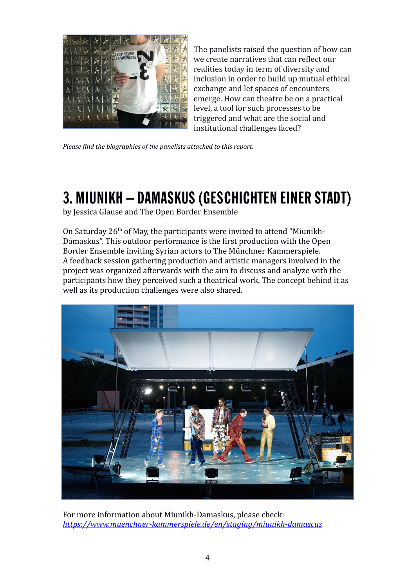

The panelists raised the question of how can we create narratives that can reflect our realities today in term of diversity and inclusion in order to build up mutual ethical exchange and let spaces of encounters emerge. How can theatre be on a practical level, a tool for such processes to be triggered and what are the social and institutional challenges faced?

*Please find the biographies of the panelists attached to this report.*

# 3. MIUNIKH – DAMASKUS (GESCHICHTEN EINER STADT)

by Jessica Glause and The Open Border Ensemble

On Saturday  $26<sup>th</sup>$  of May, the participants were invited to attend "Miunikh-Damaskus". This outdoor performance is the first production with the Open Border Ensemble inviting Syrian actors to The Münchner Kammerspiele. A feedback session gathering production and artistic managers involved in the project was organized afterwards with the aim to discuss and analyze with the participants how they perceived such a theatrical work. The concept behind it as well as its production challenges were also shared.



For more information about Miunikh-Damaskus, please check: *<https://www.muenchner-kammerspiele.de/en/staging/miunikh-damascus>*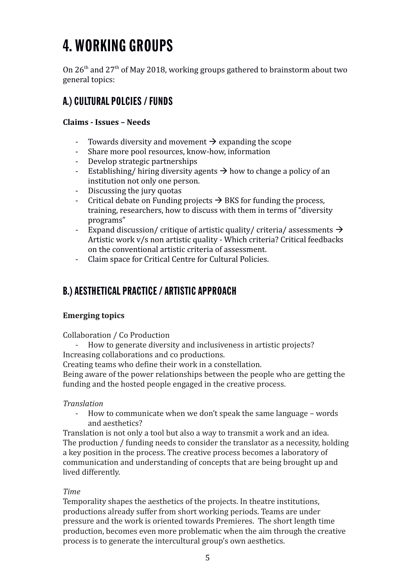# 4. WORKING GROUPS

On  $26<sup>th</sup>$  and  $27<sup>th</sup>$  of May 2018, working groups gathered to brainstorm about two general topics:

# A.) CULTURAL POLCIES / FUNDS

#### **Claims - Issues – Needs**

- Towards diversity and movement  $\rightarrow$  expanding the scope
- Share more pool resources, know-how, information
- Develop strategic partnerships
- Establishing/ hiring diversity agents  $\rightarrow$  how to change a policy of an institution not only one person.
- Discussing the jury quotas
- Critical debate on Funding projects  $\rightarrow$  BKS for funding the process, training, researchers, how to discuss with them in terms of "diversity programs"
- Expand discussion/ critique of artistic quality/ criteria/ assessments  $\rightarrow$ Artistic work v/s non artistic quality - Which criteria? Critical feedbacks on the conventional artistic criteria of assessment.
- Claim space for Critical Centre for Cultural Policies.

### B.) AESTHETICAL PRACTICE / ARTISTIC APPROACH

#### **Emerging topics**

Collaboration / Co Production

How to generate diversity and inclusiveness in artistic projects? Increasing collaborations and co productions.

Creating teams who define their work in a constellation.

Being aware of the power relationships between the people who are getting the funding and the hosted people engaged in the creative process.

#### *Translation*

- How to communicate when we don't speak the same language – words and aesthetics?

Translation is not only a tool but also a way to transmit a work and an idea. The production / funding needs to consider the translator as a necessity, holding a key position in the process. The creative process becomes a laboratory of communication and understanding of concepts that are being brought up and lived differently.

#### *Time*

Temporality shapes the aesthetics of the projects. In theatre institutions, productions already suffer from short working periods. Teams are under pressure and the work is oriented towards Premieres. The short length time production, becomes even more problematic when the aim through the creative process is to generate the intercultural group's own aesthetics.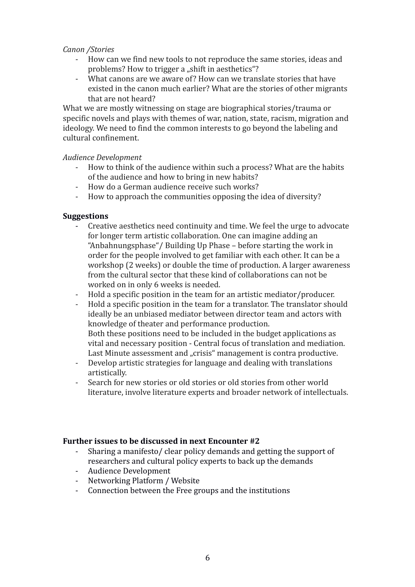#### *Canon /Stories*

- How can we find new tools to not reproduce the same stories, ideas and problems? How to trigger a "shift in aesthetics"?
- What canons are we aware of? How can we translate stories that have existed in the canon much earlier? What are the stories of other migrants that are not heard?

What we are mostly witnessing on stage are biographical stories/trauma or specific novels and plays with themes of war, nation, state, racism, migration and ideology. We need to find the common interests to go beyond the labeling and cultural confinement.

#### *Audience Development*

- How to think of the audience within such a process? What are the habits of the audience and how to bring in new habits?
- How do a German audience receive such works?
- How to approach the communities opposing the idea of diversity?

#### **Suggestions**

- Creative aesthetics need continuity and time. We feel the urge to advocate for longer term artistic collaboration. One can imagine adding an "Anbahnungsphase"/ Building Up Phase – before starting the work in order for the people involved to get familiar with each other. It can be a workshop (2 weeks) or double the time of production. A larger awareness from the cultural sector that these kind of collaborations can not be worked on in only 6 weeks is needed.
- Hold a specific position in the team for an artistic mediator/producer.
- Hold a specific position in the team for a translator. The translator should ideally be an unbiased mediator between director team and actors with knowledge of theater and performance production. Both these positions need to be included in the budget applications as vital and necessary position - Central focus of translation and mediation. Last Minute assessment and "crisis" management is contra productive.
- Develop artistic strategies for language and dealing with translations artistically.
- Search for new stories or old stories or old stories from other world literature, involve literature experts and broader network of intellectuals.

#### **Further issues to be discussed in next Encounter #2**

- Sharing a manifesto/ clear policy demands and getting the support of researchers and cultural policy experts to back up the demands
- Audience Development
- Networking Platform / Website
- Connection between the Free groups and the institutions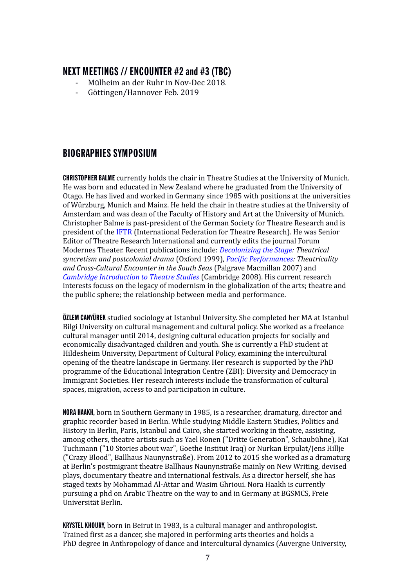### NEXT MEETINGS // ENCOUNTER #2 and #3 (TBC)

- Mülheim an der Ruhr in Nov-Dec 2018.
- Göttingen/Hannover Feb. 2019

### BIOGRAPHIES SYMPOSIUM

CHRISTOPHER BALME currently holds the chair in Theatre Studies at the University of Munich. He was born and educated in New Zealand where he graduated from the University of Otago. He has lived and worked in Germany since 1985 with positions at the universities of Würzburg, Munich and Mainz. He held the chair in theatre studies at the University of Amsterdam and was dean of the Faculty of History and Art at the University of Munich. Christopher Balme is past-president of the German Society for Theatre Research and is president of the [IFTR](https://www.firt-iftr.org/) (International Federation for Theatre Research). He was Senior Editor of Theatre Research International and currently edits the journal Forum Modernes Theater. Recent publications include: *[Decolonizing the Stage:](http://www.theaterwissenschaft.uni-muenchen.de/personen2/professoren-und-privatdozenten/balme/balme_publ1/balme_publ_mono/index.html) Theatrical syncretism and postcolonial drama* (Oxford 1999), *[Pacific Performances:](http://www.theaterwissenschaft.uni-muenchen.de/personen2/professoren-und-privatdozenten/balme/balme_publ1/balme_publ_mono/index.html) Theatricality and Cross-Cultural Encounter in the South Seas* (Palgrave Macmillan 2007) and *[Cambridge Introduction to Theatre Studies](http://www.theaterwissenschaft.uni-muenchen.de/personen2/professoren-und-privatdozenten/balme/balme_publ1/balme_publ_mono/index.html)* (Cambridge 2008). His current research interests focuss on the legacy of modernism in the globalization of the arts; theatre and the public sphere; the relationship between media and performance.

**ÖZLEM CANYÜREK** studied sociology at Istanbul University. She completed her MA at Istanbul Bilgi University on cultural management and cultural policy. She worked as a freelance cultural manager until 2014, designing cultural education projects for socially and economically disadvantaged children and youth. She is currently a PhD student at Hildesheim University, Department of Cultural Policy, examining the intercultural opening of the theatre landscape in Germany. Her research is supported by the PhD programme of the Educational Integration Centre (ZBI): Diversity and Democracy in Immigrant Societies. Her research interests include the transformation of cultural spaces, migration, access to and participation in culture.

NORA HAAKH, born in Southern Germany in 1985, is a researcher, dramaturg, director and graphic recorder based in Berlin. While studying Middle Eastern Studies, Politics and History in Berlin, Paris, Istanbul and Cairo, she started working in theatre, assisting, among others, theatre artists such as Yael Ronen ("Dritte Generation", Schaubühne), Kai Tuchmann ("10 Stories about war", Goethe Institut Iraq) or Nurkan Erpulat/Jens Hillje ("Crazy Blood", Ballhaus Naunynstraße). From 2012 to 2015 she worked as a dramaturg at Berlin's postmigrant theatre Ballhaus Naunynstraße mainly on New Writing, devised plays, documentary theatre and international festivals. As a director herself, she has staged texts by Mohammad Al-Attar and Wasim Ghrioui. Nora Haakh is currently pursuing a phd on Arabic Theatre on the way to and in Germany at BGSMCS, Freie Universität Berlin.

KRYSTEL KHOURY, born in Beirut in 1983, is a cultural manager and anthropologist. Trained first as a dancer, she majored in performing arts theories and holds a PhD degree in Anthropology of dance and intercultural dynamics (Auvergne University,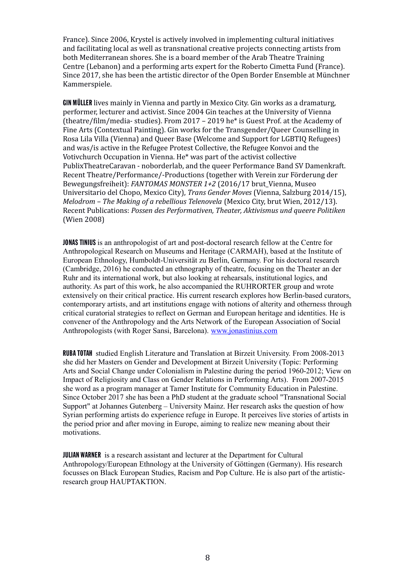France). Since 2006, Krystel is actively involved in implementing cultural initiatives and facilitating local as well as transnational creative projects connecting artists from both Mediterranean shores. She is a board member of the Arab Theatre Training Centre (Lebanon) and a performing arts expert for the Roberto Cimetta Fund (France). Since 2017, she has been the artistic director of the Open Border Ensemble at Münchner Kammerspiele.

GIN MÜLLER lives mainly in Vienna and partly in Mexico City. Gin works as a dramaturg, performer, lecturer and activist. Since 2004 Gin teaches at the University of Vienna (theatre/film/media- studies). From 2017 – 2019 he\* is Guest Prof. at the Academy of Fine Arts (Contextual Painting). Gin works for the Transgender/Queer Counselling in Rosa Lila Villa (Vienna) and Queer Base (Welcome and Support for LGBTIQ Refugees) and was/is active in the Refugee Protest Collective, the Refugee Konvoi and the Votivchurch Occupation in Vienna. He\* was part of the activist collective PublixTheatreCaravan - noborderlab, and the queer Performance Band SV Damenkraft. Recent Theatre/Performance/-Productions (together with Verein zur Förderung der Bewegungsfreiheit): *FANTOMAS MONSTER 1+2* (2016/17 brut\_Vienna, Museo Universitario del Chopo, Mexico City), *Trans Gender Moves* (Vienna, Salzburg 2014/15), *Melodrom – The Making of a rebellious Telenovela* (Mexico City, brut Wien, 2012/13). Recent Publications: *Possen des Performativen, Theater, Aktivismus und queere Politiken* (Wien 2008)

JONAS TINIUS is an anthropologist of art and post-doctoral research fellow at the Centre for Anthropological Research on Museums and Heritage (CARMAH), based at the Institute of European Ethnology, Humboldt-Universität zu Berlin, Germany. For his doctoral research (Cambridge, 2016) he conducted an ethnography of theatre, focusing on the Theater an der Ruhr and its international work, but also looking at rehearsals, institutional logics, and authority. As part of this work, he also accompanied the RUHRORTER group and wrote extensively on their critical practice. His current research explores how Berlin-based curators, contemporary artists, and art institutions engage with notions of alterity and otherness through critical curatorial strategies to reflect on German and European heritage and identities. He is convener of the Anthropology and the Arts Network of the European Association of Social Anthropologists (with Roger Sansi, Barcelona). [www.jonastinius.com](http://www.jonastinius.com/)

RUBA TOTAH studied English Literature and Translation at Birzeit University. From 2008-2013 she did her Masters on Gender and Development at Birzeit University (Topic: Performing Arts and Social Change under Colonialism in Palestine during the period 1960-2012; View on Impact of Religiosity and Class on Gender Relations in Performing Arts). From 2007-2015 she word as a program manager at Tamer Institute for Community Education in Palestine. Since October 2017 she has been a PhD student at the graduate school "Transnational Social Support" at Johannes Gutenberg – University Mainz. Her research asks the question of how Syrian performing artists do experience refuge in Europe. It perceives live stories of artists in the period prior and after moving in Europe, aiming to realize new meaning about their motivations.

JULIAN WARNER is a research assistant and lecturer at the Department for Cultural Anthropology/European Ethnology at the University of Göttingen (Germany). His research focusses on Black European Studies, Racism and Pop Culture. He is also part of the artisticresearch group HAUPTAKTION.